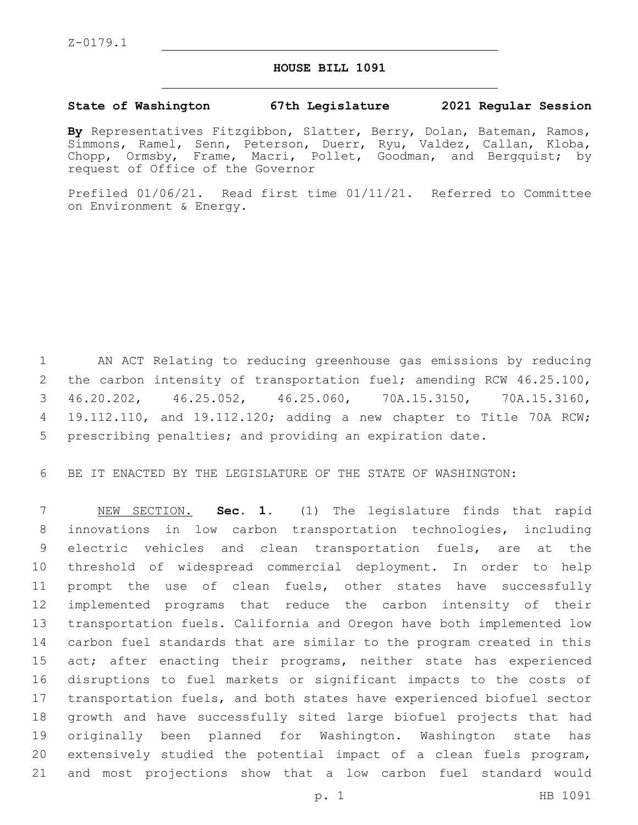Z-0179.1

## **HOUSE BILL 1091**

## **State of Washington 67th Legislature 2021 Regular Session**

**By** Representatives Fitzgibbon, Slatter, Berry, Dolan, Bateman, Ramos, Simmons, Ramel, Senn, Peterson, Duerr, Ryu, Valdez, Callan, Kloba, Chopp, Ormsby, Frame, Macri, Pollet, Goodman, and Bergquist; by request of Office of the Governor

Prefiled 01/06/21. Read first time 01/11/21. Referred to Committee on Environment & Energy.

 AN ACT Relating to reducing greenhouse gas emissions by reducing 2 the carbon intensity of transportation fuel; amending RCW 46.25.100, 46.20.202, 46.25.052, 46.25.060, 70A.15.3150, 70A.15.3160, 19.112.110, and 19.112.120; adding a new chapter to Title 70A RCW; prescribing penalties; and providing an expiration date.

BE IT ENACTED BY THE LEGISLATURE OF THE STATE OF WASHINGTON:

 NEW SECTION. **Sec. 1.** (1) The legislature finds that rapid innovations in low carbon transportation technologies, including electric vehicles and clean transportation fuels, are at the threshold of widespread commercial deployment. In order to help prompt the use of clean fuels, other states have successfully implemented programs that reduce the carbon intensity of their transportation fuels. California and Oregon have both implemented low carbon fuel standards that are similar to the program created in this 15 act; after enacting their programs, neither state has experienced disruptions to fuel markets or significant impacts to the costs of transportation fuels, and both states have experienced biofuel sector growth and have successfully sited large biofuel projects that had originally been planned for Washington. Washington state has extensively studied the potential impact of a clean fuels program, and most projections show that a low carbon fuel standard would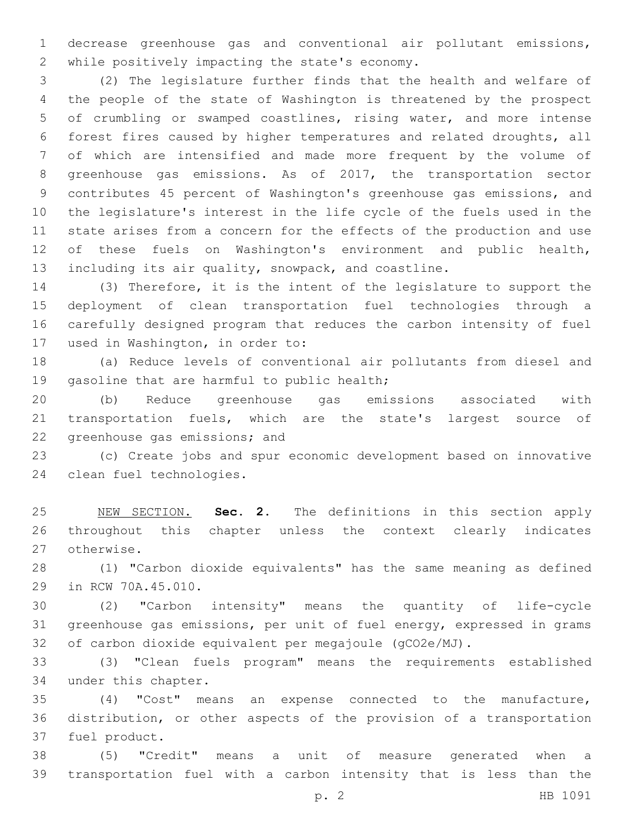decrease greenhouse gas and conventional air pollutant emissions, 2 while positively impacting the state's economy.

 (2) The legislature further finds that the health and welfare of the people of the state of Washington is threatened by the prospect of crumbling or swamped coastlines, rising water, and more intense forest fires caused by higher temperatures and related droughts, all of which are intensified and made more frequent by the volume of greenhouse gas emissions. As of 2017, the transportation sector contributes 45 percent of Washington's greenhouse gas emissions, and the legislature's interest in the life cycle of the fuels used in the state arises from a concern for the effects of the production and use of these fuels on Washington's environment and public health, including its air quality, snowpack, and coastline.

 (3) Therefore, it is the intent of the legislature to support the deployment of clean transportation fuel technologies through a carefully designed program that reduces the carbon intensity of fuel 17 used in Washington, in order to:

 (a) Reduce levels of conventional air pollutants from diesel and 19 gasoline that are harmful to public health;

 (b) Reduce greenhouse gas emissions associated with transportation fuels, which are the state's largest source of 22 greenhouse gas emissions; and

 (c) Create jobs and spur economic development based on innovative 24 clean fuel technologies.

 NEW SECTION. **Sec. 2.** The definitions in this section apply throughout this chapter unless the context clearly indicates otherwise.

 (1) "Carbon dioxide equivalents" has the same meaning as defined 29 in RCW 70A.45.010.

 (2) "Carbon intensity" means the quantity of life-cycle greenhouse gas emissions, per unit of fuel energy, expressed in grams of carbon dioxide equivalent per megajoule (gCO2e/MJ).

 (3) "Clean fuels program" means the requirements established 34 under this chapter.

 (4) "Cost" means an expense connected to the manufacture, distribution, or other aspects of the provision of a transportation 37 fuel product.

 (5) "Credit" means a unit of measure generated when a transportation fuel with a carbon intensity that is less than the

p. 2 HB 1091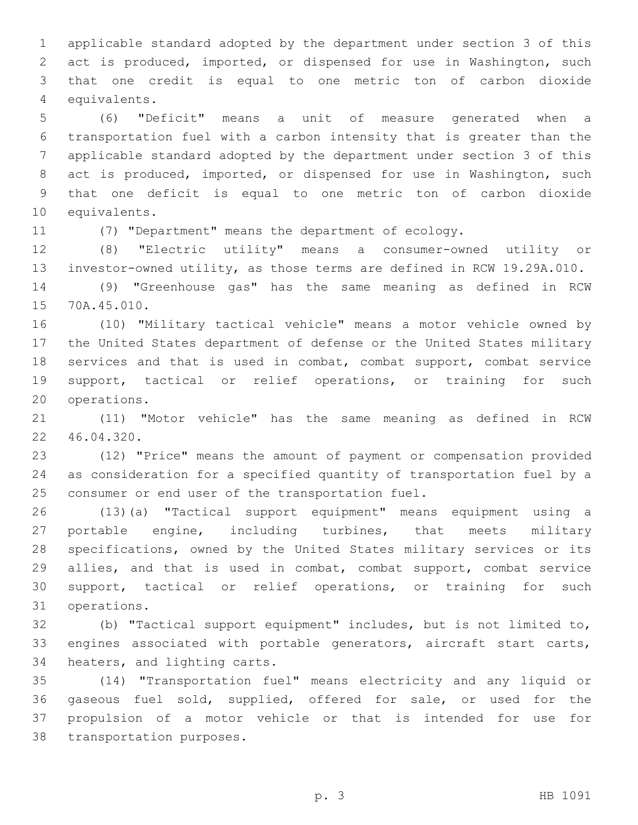applicable standard adopted by the department under section 3 of this act is produced, imported, or dispensed for use in Washington, such that one credit is equal to one metric ton of carbon dioxide equivalents.4

 (6) "Deficit" means a unit of measure generated when a transportation fuel with a carbon intensity that is greater than the applicable standard adopted by the department under section 3 of this act is produced, imported, or dispensed for use in Washington, such that one deficit is equal to one metric ton of carbon dioxide 10 equivalents.

(7) "Department" means the department of ecology.

 (8) "Electric utility" means a consumer-owned utility or investor-owned utility, as those terms are defined in RCW 19.29A.010.

 (9) "Greenhouse gas" has the same meaning as defined in RCW 15 70A.45.010.

 (10) "Military tactical vehicle" means a motor vehicle owned by the United States department of defense or the United States military services and that is used in combat, combat support, combat service support, tactical or relief operations, or training for such 20 operations.

 (11) "Motor vehicle" has the same meaning as defined in RCW 46.04.320.22

 (12) "Price" means the amount of payment or compensation provided as consideration for a specified quantity of transportation fuel by a 25 consumer or end user of the transportation fuel.

 (13)(a) "Tactical support equipment" means equipment using a portable engine, including turbines, that meets military specifications, owned by the United States military services or its allies, and that is used in combat, combat support, combat service support, tactical or relief operations, or training for such 31 operations.

 (b) "Tactical support equipment" includes, but is not limited to, engines associated with portable generators, aircraft start carts, 34 heaters, and lighting carts.

 (14) "Transportation fuel" means electricity and any liquid or gaseous fuel sold, supplied, offered for sale, or used for the propulsion of a motor vehicle or that is intended for use for 38 transportation purposes.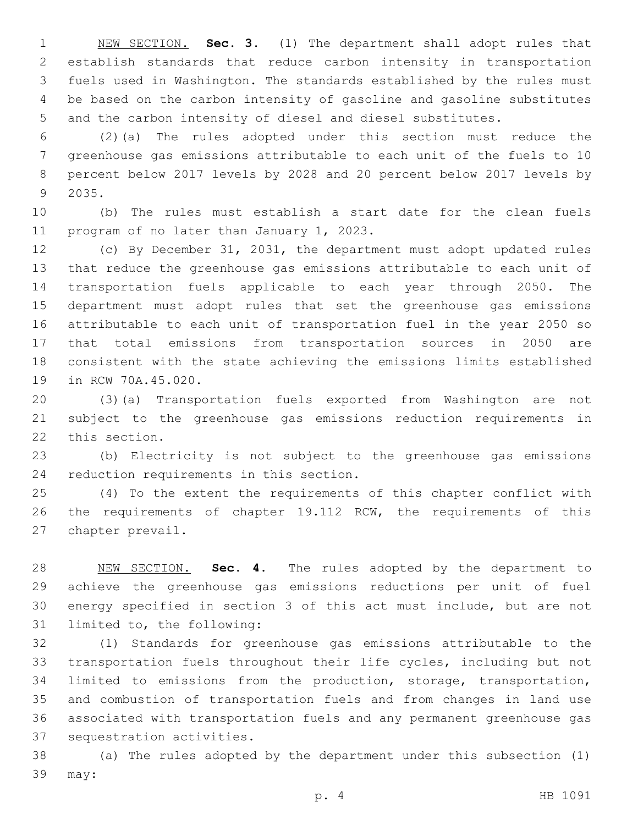NEW SECTION. **Sec. 3.** (1) The department shall adopt rules that establish standards that reduce carbon intensity in transportation fuels used in Washington. The standards established by the rules must be based on the carbon intensity of gasoline and gasoline substitutes and the carbon intensity of diesel and diesel substitutes.

 (2)(a) The rules adopted under this section must reduce the greenhouse gas emissions attributable to each unit of the fuels to 10 percent below 2017 levels by 2028 and 20 percent below 2017 levels by 9 2035.

 (b) The rules must establish a start date for the clean fuels 11 program of no later than January 1, 2023.

 (c) By December 31, 2031, the department must adopt updated rules that reduce the greenhouse gas emissions attributable to each unit of transportation fuels applicable to each year through 2050. The department must adopt rules that set the greenhouse gas emissions attributable to each unit of transportation fuel in the year 2050 so that total emissions from transportation sources in 2050 are consistent with the state achieving the emissions limits established 19 in RCW 70A.45.020.

 (3)(a) Transportation fuels exported from Washington are not subject to the greenhouse gas emissions reduction requirements in 22 this section.

 (b) Electricity is not subject to the greenhouse gas emissions 24 reduction requirements in this section.

 (4) To the extent the requirements of this chapter conflict with 26 the requirements of chapter 19.112 RCW, the requirements of this 27 chapter prevail.

 NEW SECTION. **Sec. 4.** The rules adopted by the department to achieve the greenhouse gas emissions reductions per unit of fuel energy specified in section 3 of this act must include, but are not limited to, the following:

 (1) Standards for greenhouse gas emissions attributable to the transportation fuels throughout their life cycles, including but not limited to emissions from the production, storage, transportation, and combustion of transportation fuels and from changes in land use associated with transportation fuels and any permanent greenhouse gas 37 sequestration activities.

 (a) The rules adopted by the department under this subsection (1) 39 may: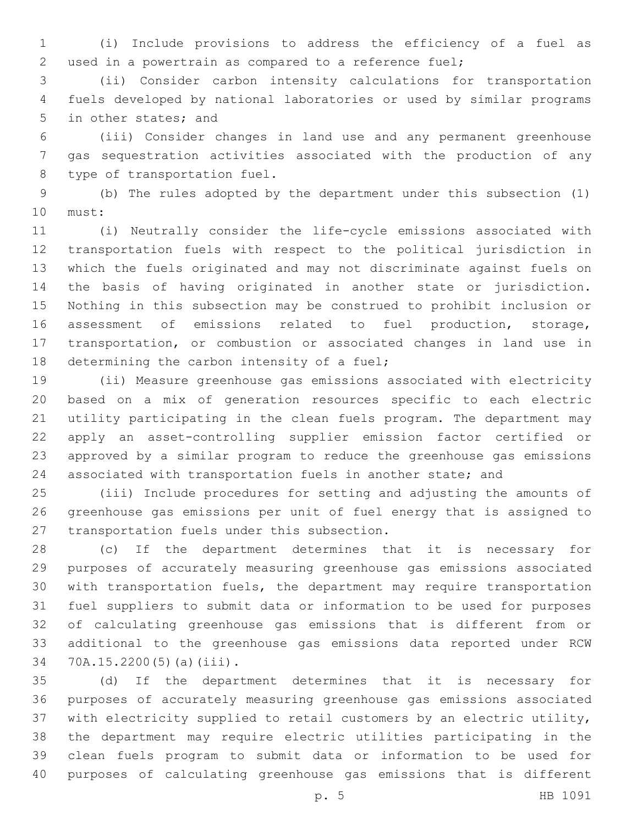(i) Include provisions to address the efficiency of a fuel as used in a powertrain as compared to a reference fuel;

 (ii) Consider carbon intensity calculations for transportation fuels developed by national laboratories or used by similar programs 5 in other states; and

 (iii) Consider changes in land use and any permanent greenhouse gas sequestration activities associated with the production of any 8 type of transportation fuel.

 (b) The rules adopted by the department under this subsection (1) 10 must:

 (i) Neutrally consider the life-cycle emissions associated with transportation fuels with respect to the political jurisdiction in which the fuels originated and may not discriminate against fuels on the basis of having originated in another state or jurisdiction. Nothing in this subsection may be construed to prohibit inclusion or assessment of emissions related to fuel production, storage, transportation, or combustion or associated changes in land use in 18 determining the carbon intensity of a fuel;

 (ii) Measure greenhouse gas emissions associated with electricity based on a mix of generation resources specific to each electric utility participating in the clean fuels program. The department may apply an asset-controlling supplier emission factor certified or approved by a similar program to reduce the greenhouse gas emissions associated with transportation fuels in another state; and

 (iii) Include procedures for setting and adjusting the amounts of greenhouse gas emissions per unit of fuel energy that is assigned to 27 transportation fuels under this subsection.

 (c) If the department determines that it is necessary for purposes of accurately measuring greenhouse gas emissions associated with transportation fuels, the department may require transportation fuel suppliers to submit data or information to be used for purposes of calculating greenhouse gas emissions that is different from or additional to the greenhouse gas emissions data reported under RCW 34 70A.15.2200(5)(a)(iii).

 (d) If the department determines that it is necessary for purposes of accurately measuring greenhouse gas emissions associated with electricity supplied to retail customers by an electric utility, the department may require electric utilities participating in the clean fuels program to submit data or information to be used for purposes of calculating greenhouse gas emissions that is different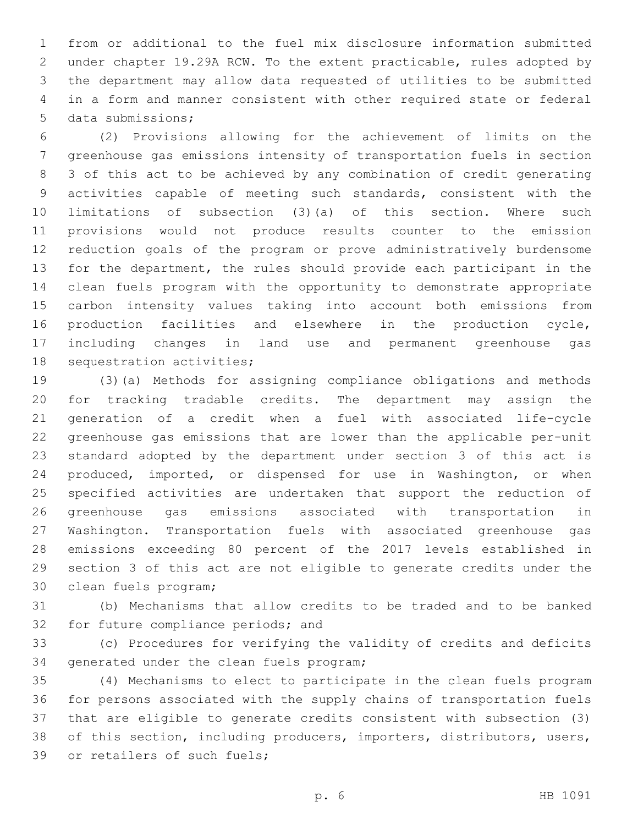from or additional to the fuel mix disclosure information submitted under chapter 19.29A RCW. To the extent practicable, rules adopted by the department may allow data requested of utilities to be submitted in a form and manner consistent with other required state or federal 5 data submissions;

 (2) Provisions allowing for the achievement of limits on the greenhouse gas emissions intensity of transportation fuels in section 3 of this act to be achieved by any combination of credit generating activities capable of meeting such standards, consistent with the limitations of subsection (3)(a) of this section. Where such provisions would not produce results counter to the emission reduction goals of the program or prove administratively burdensome for the department, the rules should provide each participant in the clean fuels program with the opportunity to demonstrate appropriate carbon intensity values taking into account both emissions from production facilities and elsewhere in the production cycle, including changes in land use and permanent greenhouse gas 18 sequestration activities;

 (3)(a) Methods for assigning compliance obligations and methods for tracking tradable credits. The department may assign the generation of a credit when a fuel with associated life-cycle greenhouse gas emissions that are lower than the applicable per-unit standard adopted by the department under section 3 of this act is produced, imported, or dispensed for use in Washington, or when specified activities are undertaken that support the reduction of greenhouse gas emissions associated with transportation in Washington. Transportation fuels with associated greenhouse gas emissions exceeding 80 percent of the 2017 levels established in section 3 of this act are not eligible to generate credits under the 30 clean fuels program;

 (b) Mechanisms that allow credits to be traded and to be banked 32 for future compliance periods; and

 (c) Procedures for verifying the validity of credits and deficits 34 generated under the clean fuels program;

 (4) Mechanisms to elect to participate in the clean fuels program for persons associated with the supply chains of transportation fuels that are eligible to generate credits consistent with subsection (3) of this section, including producers, importers, distributors, users, 39 or retailers of such fuels;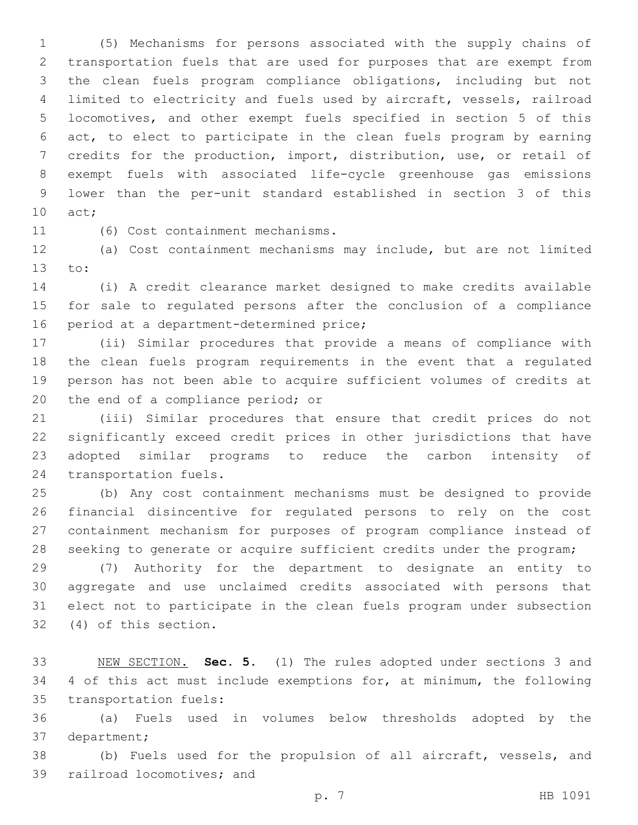(5) Mechanisms for persons associated with the supply chains of transportation fuels that are used for purposes that are exempt from the clean fuels program compliance obligations, including but not limited to electricity and fuels used by aircraft, vessels, railroad locomotives, and other exempt fuels specified in section 5 of this act, to elect to participate in the clean fuels program by earning credits for the production, import, distribution, use, or retail of exempt fuels with associated life-cycle greenhouse gas emissions lower than the per-unit standard established in section 3 of this 10 act;

(6) Cost containment mechanisms.11

 (a) Cost containment mechanisms may include, but are not limited 13 to:

 (i) A credit clearance market designed to make credits available for sale to regulated persons after the conclusion of a compliance 16 period at a department-determined price;

 (ii) Similar procedures that provide a means of compliance with the clean fuels program requirements in the event that a regulated person has not been able to acquire sufficient volumes of credits at 20 the end of a compliance period; or

 (iii) Similar procedures that ensure that credit prices do not significantly exceed credit prices in other jurisdictions that have adopted similar programs to reduce the carbon intensity of 24 transportation fuels.

 (b) Any cost containment mechanisms must be designed to provide financial disincentive for regulated persons to rely on the cost containment mechanism for purposes of program compliance instead of 28 seeking to generate or acquire sufficient credits under the program;

 (7) Authority for the department to designate an entity to aggregate and use unclaimed credits associated with persons that elect not to participate in the clean fuels program under subsection 32 (4) of this section.

 NEW SECTION. **Sec. 5.** (1) The rules adopted under sections 3 and 4 of this act must include exemptions for, at minimum, the following transportation fuels:

 (a) Fuels used in volumes below thresholds adopted by the 37 department;

 (b) Fuels used for the propulsion of all aircraft, vessels, and 39 railroad locomotives; and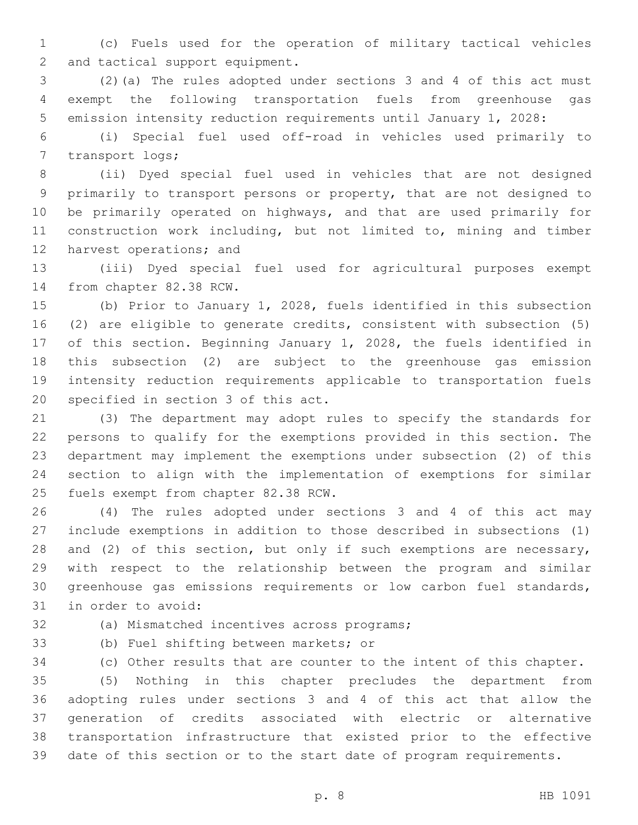(c) Fuels used for the operation of military tactical vehicles 2 and tactical support equipment.

 (2)(a) The rules adopted under sections 3 and 4 of this act must exempt the following transportation fuels from greenhouse gas emission intensity reduction requirements until January 1, 2028:

 (i) Special fuel used off-road in vehicles used primarily to 7 transport logs;

 (ii) Dyed special fuel used in vehicles that are not designed primarily to transport persons or property, that are not designed to be primarily operated on highways, and that are used primarily for construction work including, but not limited to, mining and timber 12 harvest operations; and

 (iii) Dyed special fuel used for agricultural purposes exempt 14 from chapter 82.38 RCW.

 (b) Prior to January 1, 2028, fuels identified in this subsection (2) are eligible to generate credits, consistent with subsection (5) of this section. Beginning January 1, 2028, the fuels identified in this subsection (2) are subject to the greenhouse gas emission intensity reduction requirements applicable to transportation fuels 20 specified in section 3 of this act.

 (3) The department may adopt rules to specify the standards for persons to qualify for the exemptions provided in this section. The department may implement the exemptions under subsection (2) of this section to align with the implementation of exemptions for similar 25 fuels exempt from chapter 82.38 RCW.

 (4) The rules adopted under sections 3 and 4 of this act may include exemptions in addition to those described in subsections (1) 28 and (2) of this section, but only if such exemptions are necessary, with respect to the relationship between the program and similar greenhouse gas emissions requirements or low carbon fuel standards, 31 in order to avoid:

32 (a) Mismatched incentives across programs;

33 (b) Fuel shifting between markets; or

(c) Other results that are counter to the intent of this chapter.

 (5) Nothing in this chapter precludes the department from adopting rules under sections 3 and 4 of this act that allow the generation of credits associated with electric or alternative transportation infrastructure that existed prior to the effective date of this section or to the start date of program requirements.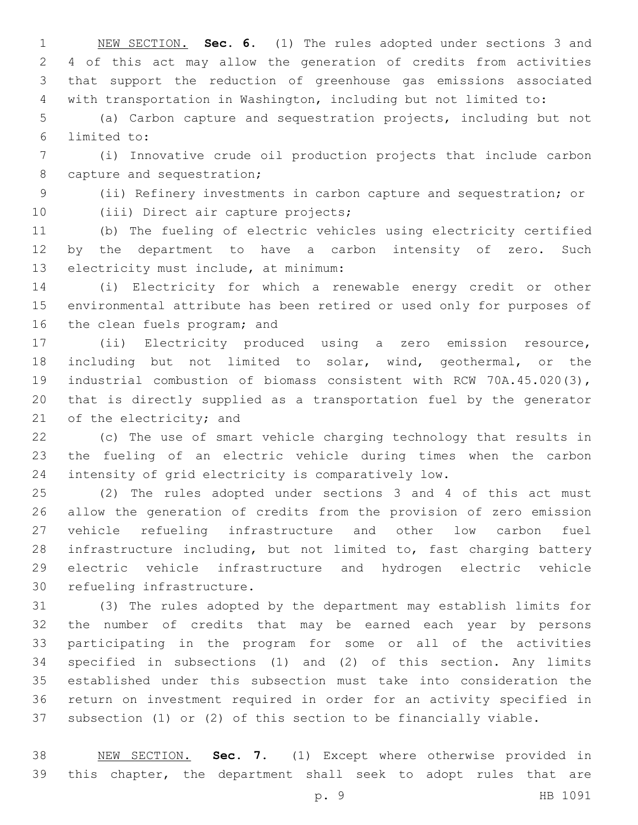NEW SECTION. **Sec. 6.** (1) The rules adopted under sections 3 and 4 of this act may allow the generation of credits from activities that support the reduction of greenhouse gas emissions associated with transportation in Washington, including but not limited to:

 (a) Carbon capture and sequestration projects, including but not limited to:6

 (i) Innovative crude oil production projects that include carbon 8 capture and sequestration;

(ii) Refinery investments in carbon capture and sequestration; or

10 (iii) Direct air capture projects;

 (b) The fueling of electric vehicles using electricity certified by the department to have a carbon intensity of zero. Such 13 electricity must include, at minimum:

 (i) Electricity for which a renewable energy credit or other environmental attribute has been retired or used only for purposes of 16 the clean fuels program; and

 (ii) Electricity produced using a zero emission resource, including but not limited to solar, wind, geothermal, or the industrial combustion of biomass consistent with RCW 70A.45.020(3), that is directly supplied as a transportation fuel by the generator 21 of the electricity; and

 (c) The use of smart vehicle charging technology that results in the fueling of an electric vehicle during times when the carbon intensity of grid electricity is comparatively low.

 (2) The rules adopted under sections 3 and 4 of this act must allow the generation of credits from the provision of zero emission vehicle refueling infrastructure and other low carbon fuel infrastructure including, but not limited to, fast charging battery electric vehicle infrastructure and hydrogen electric vehicle 30 refueling infrastructure.

 (3) The rules adopted by the department may establish limits for the number of credits that may be earned each year by persons participating in the program for some or all of the activities specified in subsections (1) and (2) of this section. Any limits established under this subsection must take into consideration the return on investment required in order for an activity specified in subsection (1) or (2) of this section to be financially viable.

 NEW SECTION. **Sec. 7.** (1) Except where otherwise provided in this chapter, the department shall seek to adopt rules that are

p. 9 HB 1091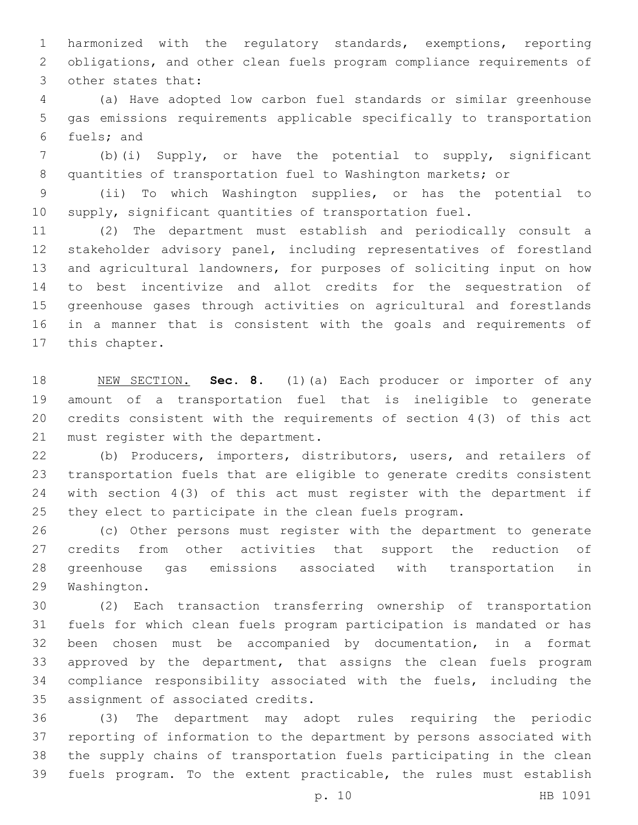harmonized with the regulatory standards, exemptions, reporting obligations, and other clean fuels program compliance requirements of 3 other states that:

 (a) Have adopted low carbon fuel standards or similar greenhouse gas emissions requirements applicable specifically to transportation 6 fuels; and

 (b)(i) Supply, or have the potential to supply, significant quantities of transportation fuel to Washington markets; or

 (ii) To which Washington supplies, or has the potential to supply, significant quantities of transportation fuel.

 (2) The department must establish and periodically consult a stakeholder advisory panel, including representatives of forestland and agricultural landowners, for purposes of soliciting input on how to best incentivize and allot credits for the sequestration of greenhouse gases through activities on agricultural and forestlands in a manner that is consistent with the goals and requirements of 17 this chapter.

 NEW SECTION. **Sec. 8.** (1)(a) Each producer or importer of any amount of a transportation fuel that is ineligible to generate credits consistent with the requirements of section 4(3) of this act must register with the department.

 (b) Producers, importers, distributors, users, and retailers of transportation fuels that are eligible to generate credits consistent with section 4(3) of this act must register with the department if they elect to participate in the clean fuels program.

 (c) Other persons must register with the department to generate credits from other activities that support the reduction of greenhouse gas emissions associated with transportation in 29 Washington.

 (2) Each transaction transferring ownership of transportation fuels for which clean fuels program participation is mandated or has been chosen must be accompanied by documentation, in a format approved by the department, that assigns the clean fuels program compliance responsibility associated with the fuels, including the 35 assignment of associated credits.

 (3) The department may adopt rules requiring the periodic reporting of information to the department by persons associated with the supply chains of transportation fuels participating in the clean fuels program. To the extent practicable, the rules must establish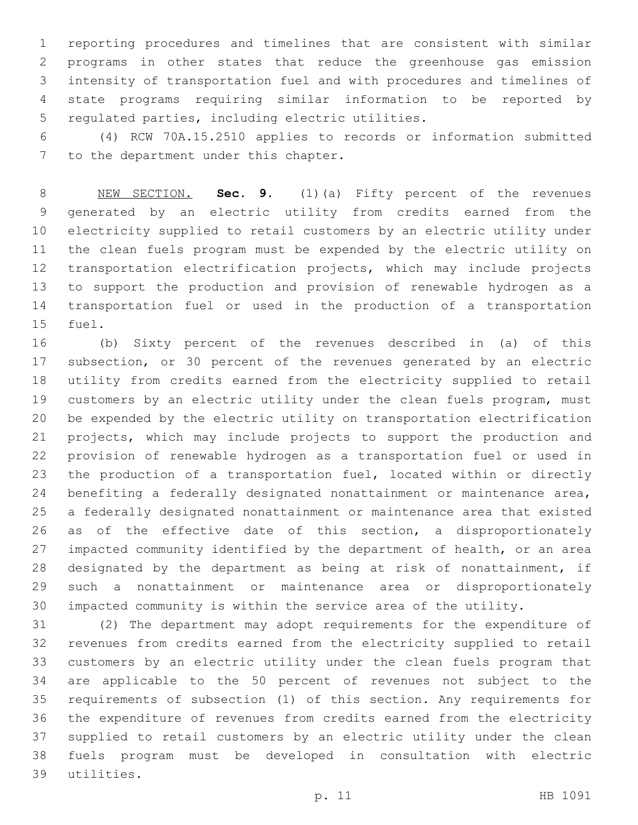reporting procedures and timelines that are consistent with similar programs in other states that reduce the greenhouse gas emission intensity of transportation fuel and with procedures and timelines of state programs requiring similar information to be reported by 5 regulated parties, including electric utilities.

 (4) RCW 70A.15.2510 applies to records or information submitted 7 to the department under this chapter.

 NEW SECTION. **Sec. 9.** (1)(a) Fifty percent of the revenues generated by an electric utility from credits earned from the electricity supplied to retail customers by an electric utility under the clean fuels program must be expended by the electric utility on transportation electrification projects, which may include projects to support the production and provision of renewable hydrogen as a transportation fuel or used in the production of a transportation fuel.

 (b) Sixty percent of the revenues described in (a) of this subsection, or 30 percent of the revenues generated by an electric utility from credits earned from the electricity supplied to retail customers by an electric utility under the clean fuels program, must be expended by the electric utility on transportation electrification projects, which may include projects to support the production and provision of renewable hydrogen as a transportation fuel or used in the production of a transportation fuel, located within or directly benefiting a federally designated nonattainment or maintenance area, a federally designated nonattainment or maintenance area that existed as of the effective date of this section, a disproportionately impacted community identified by the department of health, or an area designated by the department as being at risk of nonattainment, if such a nonattainment or maintenance area or disproportionately impacted community is within the service area of the utility.

 (2) The department may adopt requirements for the expenditure of revenues from credits earned from the electricity supplied to retail customers by an electric utility under the clean fuels program that are applicable to the 50 percent of revenues not subject to the requirements of subsection (1) of this section. Any requirements for the expenditure of revenues from credits earned from the electricity supplied to retail customers by an electric utility under the clean fuels program must be developed in consultation with electric utilities.39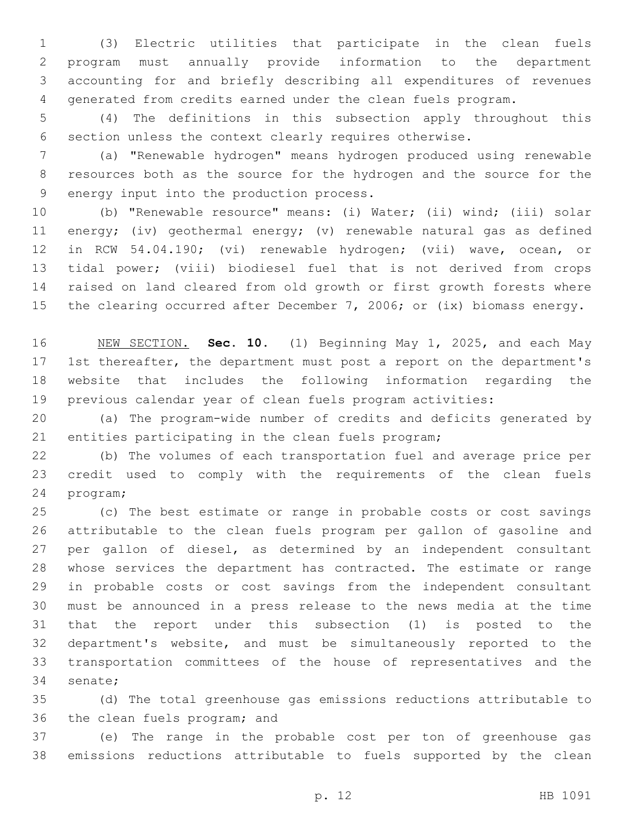(3) Electric utilities that participate in the clean fuels program must annually provide information to the department accounting for and briefly describing all expenditures of revenues generated from credits earned under the clean fuels program.

 (4) The definitions in this subsection apply throughout this section unless the context clearly requires otherwise.

 (a) "Renewable hydrogen" means hydrogen produced using renewable resources both as the source for the hydrogen and the source for the 9 energy input into the production process.

 (b) "Renewable resource" means: (i) Water; (ii) wind; (iii) solar energy; (iv) geothermal energy; (v) renewable natural gas as defined in RCW 54.04.190; (vi) renewable hydrogen; (vii) wave, ocean, or tidal power; (viii) biodiesel fuel that is not derived from crops raised on land cleared from old growth or first growth forests where the clearing occurred after December 7, 2006; or (ix) biomass energy.

 NEW SECTION. **Sec. 10.** (1) Beginning May 1, 2025, and each May 1st thereafter, the department must post a report on the department's website that includes the following information regarding the previous calendar year of clean fuels program activities:

 (a) The program-wide number of credits and deficits generated by entities participating in the clean fuels program;

 (b) The volumes of each transportation fuel and average price per credit used to comply with the requirements of the clean fuels 24 program;

 (c) The best estimate or range in probable costs or cost savings attributable to the clean fuels program per gallon of gasoline and per gallon of diesel, as determined by an independent consultant whose services the department has contracted. The estimate or range in probable costs or cost savings from the independent consultant must be announced in a press release to the news media at the time that the report under this subsection (1) is posted to the department's website, and must be simultaneously reported to the transportation committees of the house of representatives and the 34 senate;

 (d) The total greenhouse gas emissions reductions attributable to 36 the clean fuels program; and

 (e) The range in the probable cost per ton of greenhouse gas emissions reductions attributable to fuels supported by the clean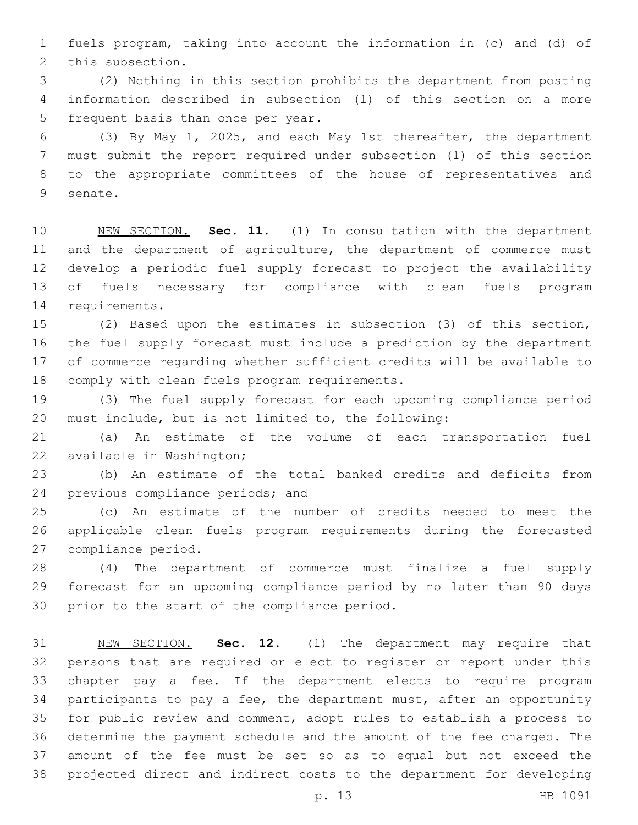fuels program, taking into account the information in (c) and (d) of 2 this subsection.

 (2) Nothing in this section prohibits the department from posting information described in subsection (1) of this section on a more 5 frequent basis than once per year.

 (3) By May 1, 2025, and each May 1st thereafter, the department must submit the report required under subsection (1) of this section to the appropriate committees of the house of representatives and 9 senate.

 NEW SECTION. **Sec. 11.** (1) In consultation with the department 11 and the department of agriculture, the department of commerce must develop a periodic fuel supply forecast to project the availability of fuels necessary for compliance with clean fuels program requirements.

 (2) Based upon the estimates in subsection (3) of this section, the fuel supply forecast must include a prediction by the department of commerce regarding whether sufficient credits will be available to 18 comply with clean fuels program requirements.

 (3) The fuel supply forecast for each upcoming compliance period must include, but is not limited to, the following:

 (a) An estimate of the volume of each transportation fuel 22 available in Washington;

 (b) An estimate of the total banked credits and deficits from 24 previous compliance periods; and

 (c) An estimate of the number of credits needed to meet the applicable clean fuels program requirements during the forecasted 27 compliance period.

 (4) The department of commerce must finalize a fuel supply forecast for an upcoming compliance period by no later than 90 days 30 prior to the start of the compliance period.

 NEW SECTION. **Sec. 12.** (1) The department may require that persons that are required or elect to register or report under this chapter pay a fee. If the department elects to require program participants to pay a fee, the department must, after an opportunity for public review and comment, adopt rules to establish a process to determine the payment schedule and the amount of the fee charged. The amount of the fee must be set so as to equal but not exceed the projected direct and indirect costs to the department for developing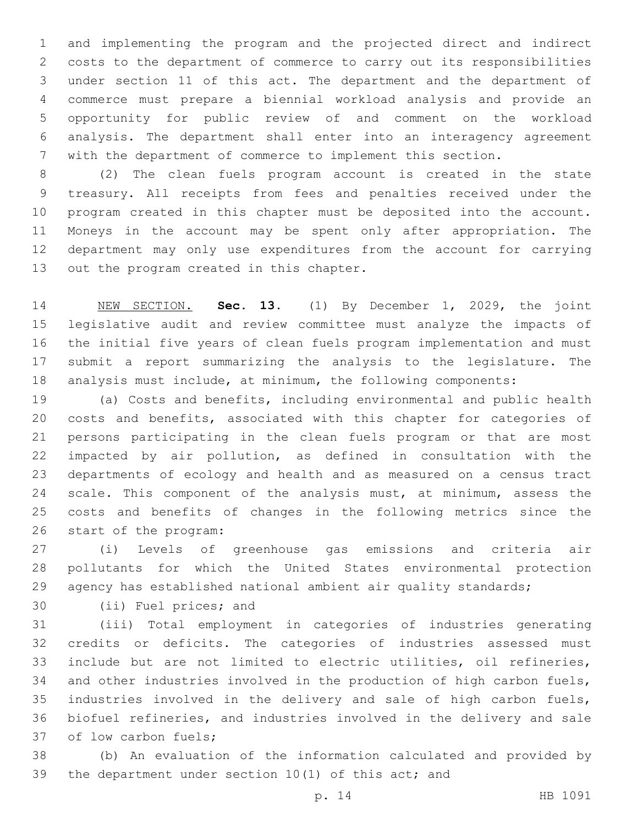and implementing the program and the projected direct and indirect costs to the department of commerce to carry out its responsibilities under section 11 of this act. The department and the department of commerce must prepare a biennial workload analysis and provide an opportunity for public review of and comment on the workload analysis. The department shall enter into an interagency agreement with the department of commerce to implement this section.

 (2) The clean fuels program account is created in the state treasury. All receipts from fees and penalties received under the program created in this chapter must be deposited into the account. Moneys in the account may be spent only after appropriation. The department may only use expenditures from the account for carrying 13 out the program created in this chapter.

 NEW SECTION. **Sec. 13.** (1) By December 1, 2029, the joint legislative audit and review committee must analyze the impacts of the initial five years of clean fuels program implementation and must submit a report summarizing the analysis to the legislature. The analysis must include, at minimum, the following components:

 (a) Costs and benefits, including environmental and public health costs and benefits, associated with this chapter for categories of persons participating in the clean fuels program or that are most impacted by air pollution, as defined in consultation with the departments of ecology and health and as measured on a census tract 24 scale. This component of the analysis must, at minimum, assess the costs and benefits of changes in the following metrics since the 26 start of the program:

 (i) Levels of greenhouse gas emissions and criteria air pollutants for which the United States environmental protection 29 agency has established national ambient air quality standards;

30 (ii) Fuel prices; and

 (iii) Total employment in categories of industries generating credits or deficits. The categories of industries assessed must include but are not limited to electric utilities, oil refineries, and other industries involved in the production of high carbon fuels, industries involved in the delivery and sale of high carbon fuels, biofuel refineries, and industries involved in the delivery and sale 37 of low carbon fuels;

 (b) An evaluation of the information calculated and provided by the department under section 10(1) of this act; and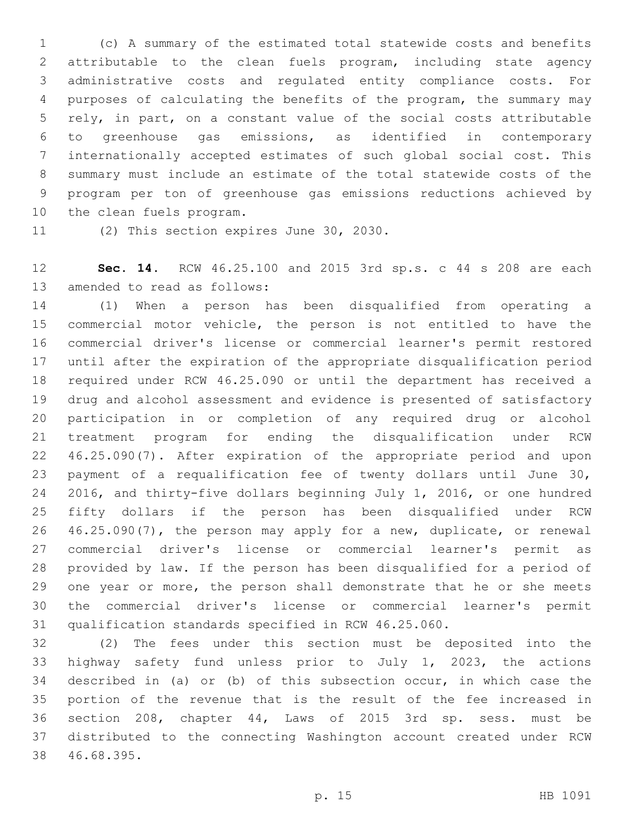(c) A summary of the estimated total statewide costs and benefits attributable to the clean fuels program, including state agency administrative costs and regulated entity compliance costs. For purposes of calculating the benefits of the program, the summary may rely, in part, on a constant value of the social costs attributable to greenhouse gas emissions, as identified in contemporary internationally accepted estimates of such global social cost. This summary must include an estimate of the total statewide costs of the program per ton of greenhouse gas emissions reductions achieved by 10 the clean fuels program.

11 (2) This section expires June 30, 2030.

 **Sec. 14.** RCW 46.25.100 and 2015 3rd sp.s. c 44 s 208 are each 13 amended to read as follows:

 (1) When a person has been disqualified from operating a commercial motor vehicle, the person is not entitled to have the commercial driver's license or commercial learner's permit restored until after the expiration of the appropriate disqualification period required under RCW 46.25.090 or until the department has received a drug and alcohol assessment and evidence is presented of satisfactory participation in or completion of any required drug or alcohol treatment program for ending the disqualification under RCW 46.25.090(7). After expiration of the appropriate period and upon payment of a requalification fee of twenty dollars until June 30, 2016, and thirty-five dollars beginning July 1, 2016, or one hundred fifty dollars if the person has been disqualified under RCW 46.25.090(7), the person may apply for a new, duplicate, or renewal commercial driver's license or commercial learner's permit as provided by law. If the person has been disqualified for a period of 29 one year or more, the person shall demonstrate that he or she meets the commercial driver's license or commercial learner's permit qualification standards specified in RCW 46.25.060.

 (2) The fees under this section must be deposited into the highway safety fund unless prior to July 1, 2023, the actions described in (a) or (b) of this subsection occur, in which case the portion of the revenue that is the result of the fee increased in section 208, chapter 44, Laws of 2015 3rd sp. sess. must be distributed to the connecting Washington account created under RCW 38 46.68.395.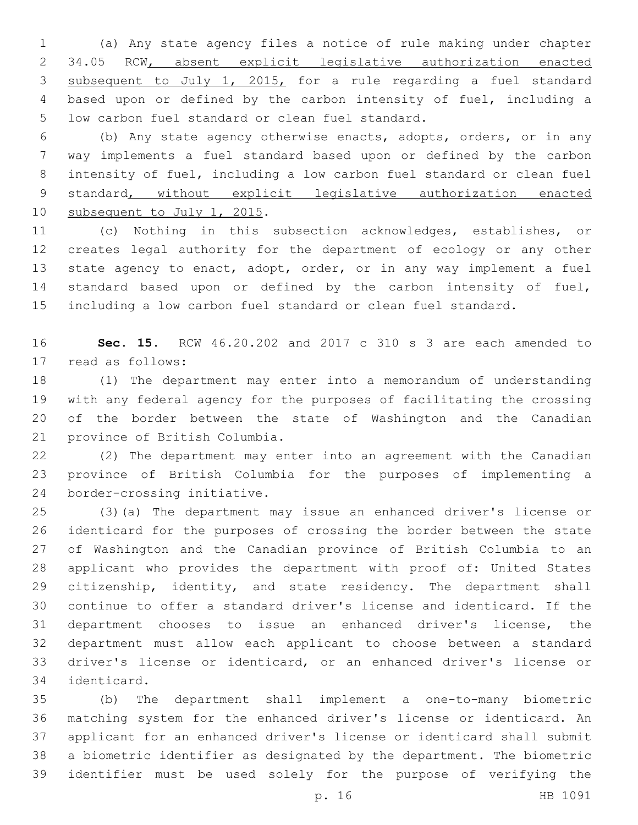(a) Any state agency files a notice of rule making under chapter 34.05 RCW, absent explicit legislative authorization enacted subsequent to July 1, 2015, for a rule regarding a fuel standard based upon or defined by the carbon intensity of fuel, including a 5 low carbon fuel standard or clean fuel standard.

 (b) Any state agency otherwise enacts, adopts, orders, or in any way implements a fuel standard based upon or defined by the carbon intensity of fuel, including a low carbon fuel standard or clean fuel 9 standard, without explicit legislative authorization enacted 10 subsequent to July 1, 2015.

 (c) Nothing in this subsection acknowledges, establishes, or creates legal authority for the department of ecology or any other state agency to enact, adopt, order, or in any way implement a fuel standard based upon or defined by the carbon intensity of fuel, including a low carbon fuel standard or clean fuel standard.

 **Sec. 15.** RCW 46.20.202 and 2017 c 310 s 3 are each amended to 17 read as follows:

 (1) The department may enter into a memorandum of understanding with any federal agency for the purposes of facilitating the crossing of the border between the state of Washington and the Canadian 21 province of British Columbia.

 (2) The department may enter into an agreement with the Canadian province of British Columbia for the purposes of implementing a 24 border-crossing initiative.

 (3)(a) The department may issue an enhanced driver's license or identicard for the purposes of crossing the border between the state of Washington and the Canadian province of British Columbia to an applicant who provides the department with proof of: United States 29 citizenship, identity, and state residency. The department shall continue to offer a standard driver's license and identicard. If the department chooses to issue an enhanced driver's license, the department must allow each applicant to choose between a standard driver's license or identicard, or an enhanced driver's license or 34 identicard.

 (b) The department shall implement a one-to-many biometric matching system for the enhanced driver's license or identicard. An applicant for an enhanced driver's license or identicard shall submit a biometric identifier as designated by the department. The biometric identifier must be used solely for the purpose of verifying the

p. 16 HB 1091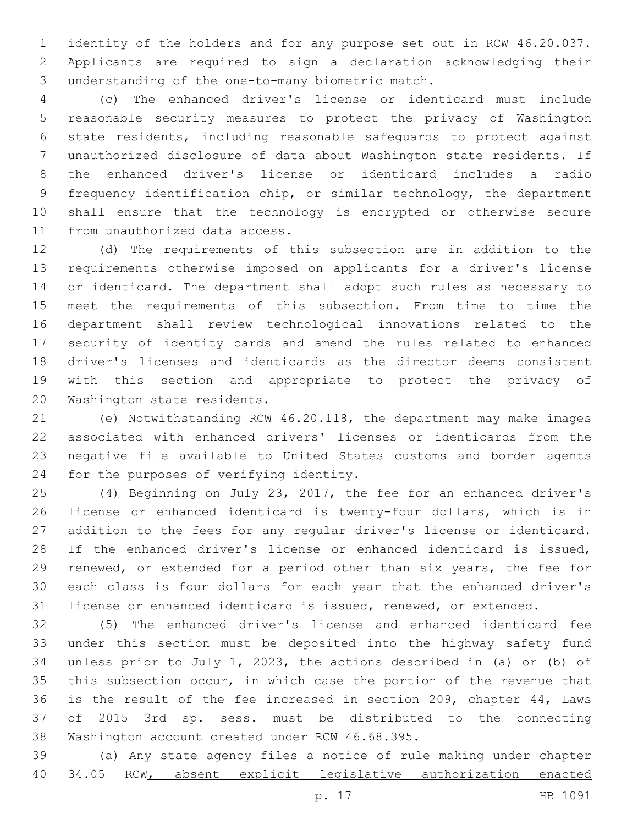identity of the holders and for any purpose set out in RCW 46.20.037. Applicants are required to sign a declaration acknowledging their understanding of the one-to-many biometric match.3

 (c) The enhanced driver's license or identicard must include reasonable security measures to protect the privacy of Washington state residents, including reasonable safeguards to protect against unauthorized disclosure of data about Washington state residents. If the enhanced driver's license or identicard includes a radio frequency identification chip, or similar technology, the department shall ensure that the technology is encrypted or otherwise secure 11 from unauthorized data access.

 (d) The requirements of this subsection are in addition to the requirements otherwise imposed on applicants for a driver's license or identicard. The department shall adopt such rules as necessary to meet the requirements of this subsection. From time to time the department shall review technological innovations related to the security of identity cards and amend the rules related to enhanced driver's licenses and identicards as the director deems consistent with this section and appropriate to protect the privacy of 20 Washington state residents.

 (e) Notwithstanding RCW 46.20.118, the department may make images associated with enhanced drivers' licenses or identicards from the negative file available to United States customs and border agents 24 for the purposes of verifying identity.

 (4) Beginning on July 23, 2017, the fee for an enhanced driver's license or enhanced identicard is twenty-four dollars, which is in addition to the fees for any regular driver's license or identicard. If the enhanced driver's license or enhanced identicard is issued, renewed, or extended for a period other than six years, the fee for each class is four dollars for each year that the enhanced driver's license or enhanced identicard is issued, renewed, or extended.

 (5) The enhanced driver's license and enhanced identicard fee under this section must be deposited into the highway safety fund unless prior to July 1, 2023, the actions described in (a) or (b) of this subsection occur, in which case the portion of the revenue that is the result of the fee increased in section 209, chapter 44, Laws of 2015 3rd sp. sess. must be distributed to the connecting 38 Washington account created under RCW 46.68.395.

 (a) Any state agency files a notice of rule making under chapter 34.05 RCW, absent explicit legislative authorization enacted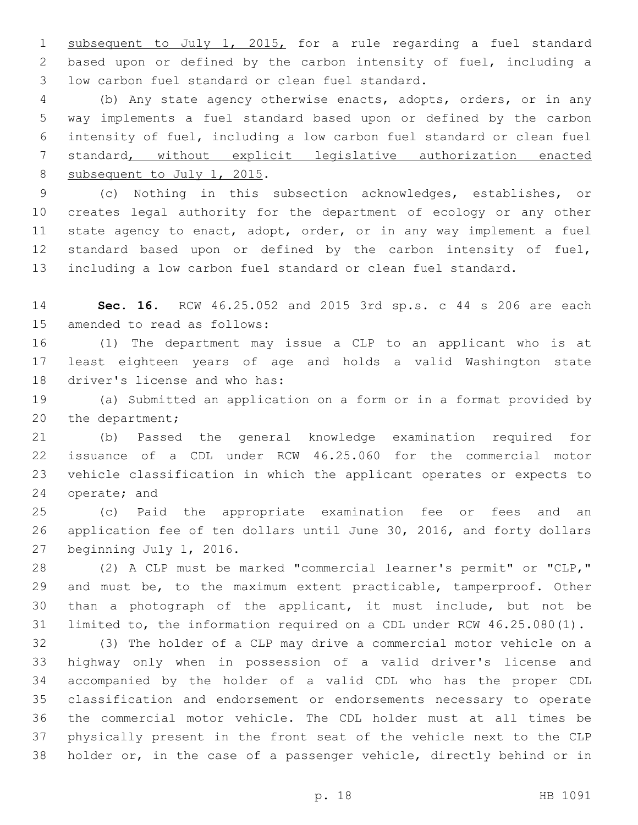subsequent to July 1, 2015, for a rule regarding a fuel standard based upon or defined by the carbon intensity of fuel, including a 3 low carbon fuel standard or clean fuel standard.

 (b) Any state agency otherwise enacts, adopts, orders, or in any way implements a fuel standard based upon or defined by the carbon intensity of fuel, including a low carbon fuel standard or clean fuel standard, without explicit legislative authorization enacted 8 subsequent to July 1, 2015.

 (c) Nothing in this subsection acknowledges, establishes, or creates legal authority for the department of ecology or any other 11 state agency to enact, adopt, order, or in any way implement a fuel standard based upon or defined by the carbon intensity of fuel, including a low carbon fuel standard or clean fuel standard.

 **Sec. 16.** RCW 46.25.052 and 2015 3rd sp.s. c 44 s 206 are each 15 amended to read as follows:

 (1) The department may issue a CLP to an applicant who is at least eighteen years of age and holds a valid Washington state 18 driver's license and who has:

 (a) Submitted an application on a form or in a format provided by 20 the department;

 (b) Passed the general knowledge examination required for issuance of a CDL under RCW 46.25.060 for the commercial motor vehicle classification in which the applicant operates or expects to 24 operate; and

 (c) Paid the appropriate examination fee or fees and an application fee of ten dollars until June 30, 2016, and forty dollars 27 beginning July 1, 2016.

 (2) A CLP must be marked "commercial learner's permit" or "CLP," 29 and must be, to the maximum extent practicable, tamperproof. Other than a photograph of the applicant, it must include, but not be limited to, the information required on a CDL under RCW 46.25.080(1).

 (3) The holder of a CLP may drive a commercial motor vehicle on a highway only when in possession of a valid driver's license and accompanied by the holder of a valid CDL who has the proper CDL classification and endorsement or endorsements necessary to operate the commercial motor vehicle. The CDL holder must at all times be physically present in the front seat of the vehicle next to the CLP holder or, in the case of a passenger vehicle, directly behind or in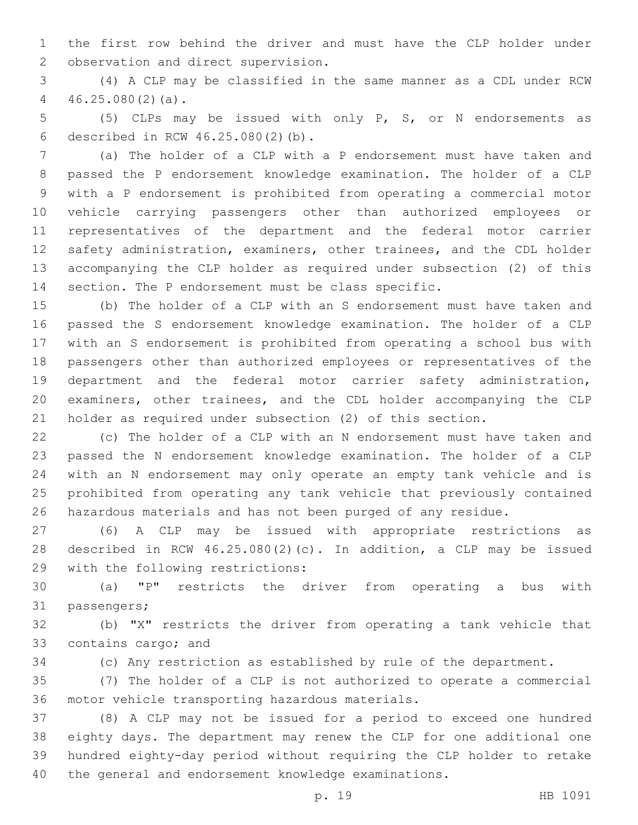the first row behind the driver and must have the CLP holder under 2 observation and direct supervision.

 (4) A CLP may be classified in the same manner as a CDL under RCW 46.25.080(2)(a).4

 (5) CLPs may be issued with only P, S, or N endorsements as described in RCW 46.25.080(2)(b).6

 (a) The holder of a CLP with a P endorsement must have taken and passed the P endorsement knowledge examination. The holder of a CLP with a P endorsement is prohibited from operating a commercial motor vehicle carrying passengers other than authorized employees or representatives of the department and the federal motor carrier safety administration, examiners, other trainees, and the CDL holder accompanying the CLP holder as required under subsection (2) of this section. The P endorsement must be class specific.

 (b) The holder of a CLP with an S endorsement must have taken and passed the S endorsement knowledge examination. The holder of a CLP with an S endorsement is prohibited from operating a school bus with passengers other than authorized employees or representatives of the department and the federal motor carrier safety administration, examiners, other trainees, and the CDL holder accompanying the CLP holder as required under subsection (2) of this section.

 (c) The holder of a CLP with an N endorsement must have taken and passed the N endorsement knowledge examination. The holder of a CLP with an N endorsement may only operate an empty tank vehicle and is prohibited from operating any tank vehicle that previously contained hazardous materials and has not been purged of any residue.

 (6) A CLP may be issued with appropriate restrictions as described in RCW 46.25.080(2)(c). In addition, a CLP may be issued 29 with the following restrictions:

 (a) "P" restricts the driver from operating a bus with 31 passengers;

 (b) "X" restricts the driver from operating a tank vehicle that 33 contains cargo; and

(c) Any restriction as established by rule of the department.

 (7) The holder of a CLP is not authorized to operate a commercial 36 motor vehicle transporting hazardous materials.

 (8) A CLP may not be issued for a period to exceed one hundred eighty days. The department may renew the CLP for one additional one hundred eighty-day period without requiring the CLP holder to retake the general and endorsement knowledge examinations.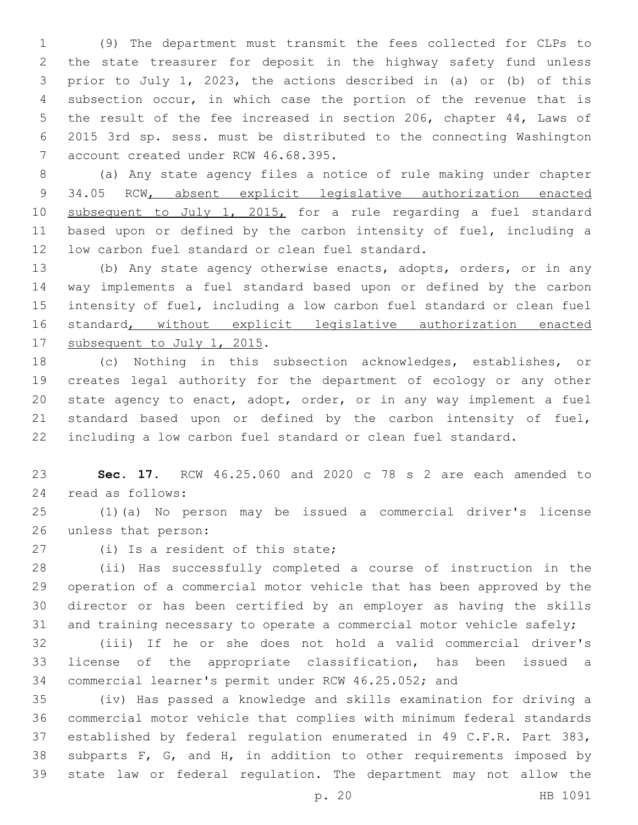(9) The department must transmit the fees collected for CLPs to the state treasurer for deposit in the highway safety fund unless prior to July 1, 2023, the actions described in (a) or (b) of this subsection occur, in which case the portion of the revenue that is the result of the fee increased in section 206, chapter 44, Laws of 2015 3rd sp. sess. must be distributed to the connecting Washington 7 account created under RCW 46.68.395.

 (a) Any state agency files a notice of rule making under chapter 9 34.05 RCW, absent explicit legislative authorization enacted subsequent to July 1, 2015, for a rule regarding a fuel standard based upon or defined by the carbon intensity of fuel, including a 12 low carbon fuel standard or clean fuel standard.

13 (b) Any state agency otherwise enacts, adopts, orders, or in any way implements a fuel standard based upon or defined by the carbon intensity of fuel, including a low carbon fuel standard or clean fuel standard, without explicit legislative authorization enacted 17 subsequent to July 1, 2015.

 (c) Nothing in this subsection acknowledges, establishes, or creates legal authority for the department of ecology or any other state agency to enact, adopt, order, or in any way implement a fuel standard based upon or defined by the carbon intensity of fuel, including a low carbon fuel standard or clean fuel standard.

 **Sec. 17.** RCW 46.25.060 and 2020 c 78 s 2 are each amended to read as follows:24

 (1)(a) No person may be issued a commercial driver's license 26 unless that person:

27 (i) Is a resident of this state;

 (ii) Has successfully completed a course of instruction in the operation of a commercial motor vehicle that has been approved by the director or has been certified by an employer as having the skills and training necessary to operate a commercial motor vehicle safely;

 (iii) If he or she does not hold a valid commercial driver's license of the appropriate classification, has been issued a commercial learner's permit under RCW 46.25.052; and

 (iv) Has passed a knowledge and skills examination for driving a commercial motor vehicle that complies with minimum federal standards established by federal regulation enumerated in 49 C.F.R. Part 383, subparts F, G, and H, in addition to other requirements imposed by state law or federal regulation. The department may not allow the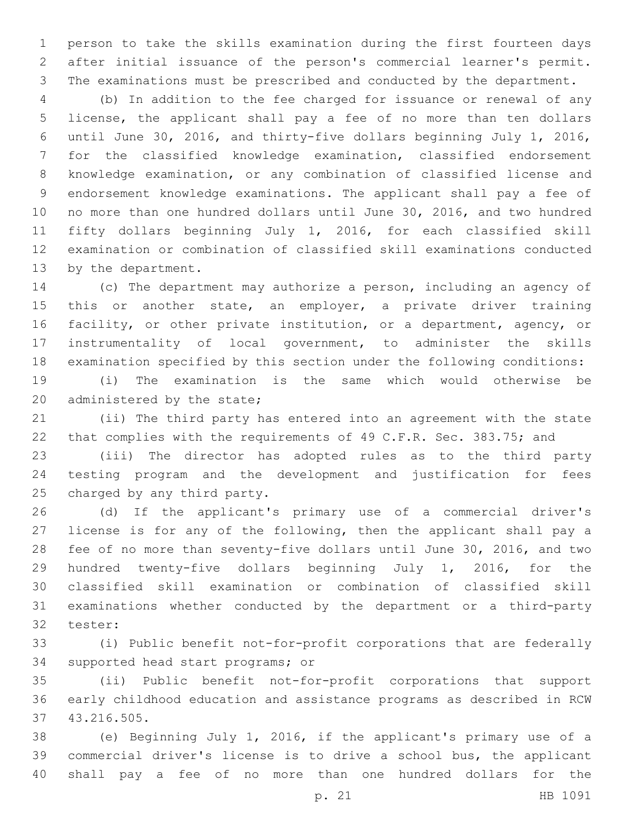person to take the skills examination during the first fourteen days after initial issuance of the person's commercial learner's permit. The examinations must be prescribed and conducted by the department.

 (b) In addition to the fee charged for issuance or renewal of any license, the applicant shall pay a fee of no more than ten dollars until June 30, 2016, and thirty-five dollars beginning July 1, 2016, for the classified knowledge examination, classified endorsement knowledge examination, or any combination of classified license and endorsement knowledge examinations. The applicant shall pay a fee of no more than one hundred dollars until June 30, 2016, and two hundred fifty dollars beginning July 1, 2016, for each classified skill examination or combination of classified skill examinations conducted 13 by the department.

 (c) The department may authorize a person, including an agency of this or another state, an employer, a private driver training facility, or other private institution, or a department, agency, or instrumentality of local government, to administer the skills examination specified by this section under the following conditions:

 (i) The examination is the same which would otherwise be 20 administered by the state;

 (ii) The third party has entered into an agreement with the state 22 that complies with the requirements of 49 C.F.R. Sec. 383.75; and

 (iii) The director has adopted rules as to the third party testing program and the development and justification for fees 25 charged by any third party.

 (d) If the applicant's primary use of a commercial driver's license is for any of the following, then the applicant shall pay a fee of no more than seventy-five dollars until June 30, 2016, and two hundred twenty-five dollars beginning July 1, 2016, for the classified skill examination or combination of classified skill examinations whether conducted by the department or a third-party 32 tester:

 (i) Public benefit not-for-profit corporations that are federally 34 supported head start programs; or

 (ii) Public benefit not-for-profit corporations that support early childhood education and assistance programs as described in RCW 43.216.505.37

 (e) Beginning July 1, 2016, if the applicant's primary use of a commercial driver's license is to drive a school bus, the applicant shall pay a fee of no more than one hundred dollars for the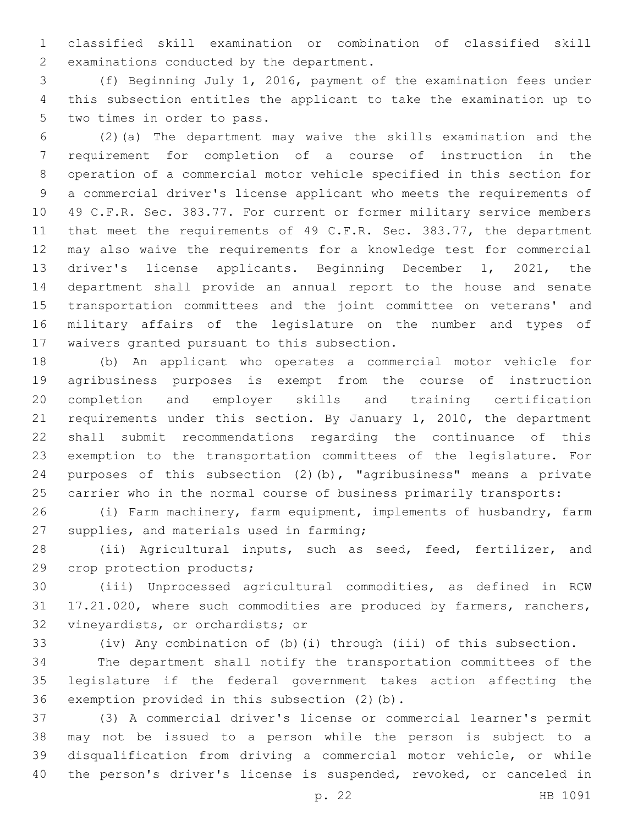classified skill examination or combination of classified skill 2 examinations conducted by the department.

 (f) Beginning July 1, 2016, payment of the examination fees under this subsection entitles the applicant to take the examination up to 5 two times in order to pass.

 (2)(a) The department may waive the skills examination and the requirement for completion of a course of instruction in the operation of a commercial motor vehicle specified in this section for a commercial driver's license applicant who meets the requirements of 10 49 C.F.R. Sec. 383.77. For current or former military service members 11 that meet the requirements of 49 C.F.R. Sec. 383.77, the department may also waive the requirements for a knowledge test for commercial driver's license applicants. Beginning December 1, 2021, the department shall provide an annual report to the house and senate transportation committees and the joint committee on veterans' and military affairs of the legislature on the number and types of 17 waivers granted pursuant to this subsection.

 (b) An applicant who operates a commercial motor vehicle for agribusiness purposes is exempt from the course of instruction completion and employer skills and training certification requirements under this section. By January 1, 2010, the department shall submit recommendations regarding the continuance of this exemption to the transportation committees of the legislature. For purposes of this subsection (2)(b), "agribusiness" means a private carrier who in the normal course of business primarily transports:

 (i) Farm machinery, farm equipment, implements of husbandry, farm 27 supplies, and materials used in farming;

28 (ii) Agricultural inputs, such as seed, feed, fertilizer, and 29 crop protection products;

 (iii) Unprocessed agricultural commodities, as defined in RCW 17.21.020, where such commodities are produced by farmers, ranchers, 32 vineyardists, or orchardists; or

(iv) Any combination of (b)(i) through (iii) of this subsection.

 The department shall notify the transportation committees of the legislature if the federal government takes action affecting the 36 exemption provided in this subsection (2)(b).

 (3) A commercial driver's license or commercial learner's permit may not be issued to a person while the person is subject to a disqualification from driving a commercial motor vehicle, or while the person's driver's license is suspended, revoked, or canceled in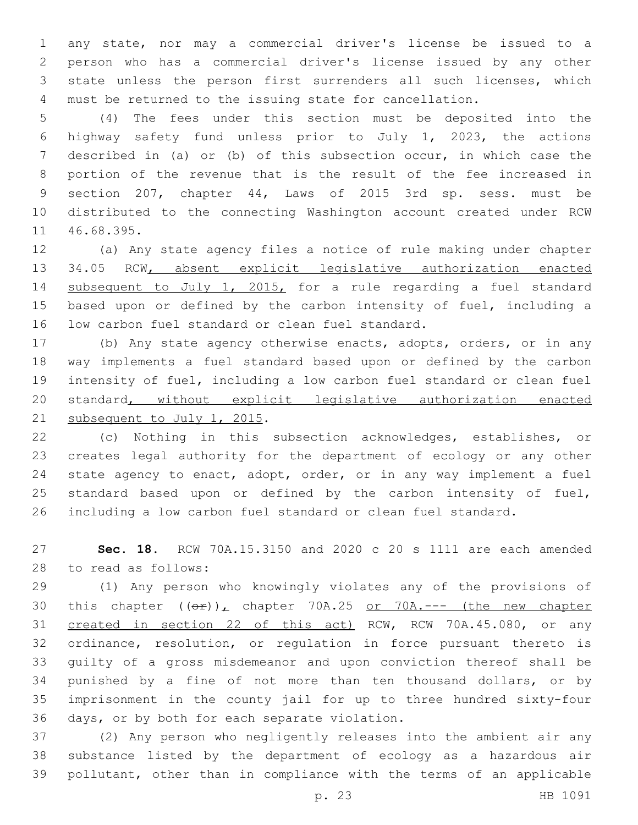any state, nor may a commercial driver's license be issued to a person who has a commercial driver's license issued by any other state unless the person first surrenders all such licenses, which must be returned to the issuing state for cancellation.

 (4) The fees under this section must be deposited into the highway safety fund unless prior to July 1, 2023, the actions described in (a) or (b) of this subsection occur, in which case the portion of the revenue that is the result of the fee increased in section 207, chapter 44, Laws of 2015 3rd sp. sess. must be distributed to the connecting Washington account created under RCW 11 46.68.395.

 (a) Any state agency files a notice of rule making under chapter 13 34.05 RCW, absent explicit legislative authorization enacted subsequent to July 1, 2015, for a rule regarding a fuel standard based upon or defined by the carbon intensity of fuel, including a 16 low carbon fuel standard or clean fuel standard.

17 (b) Any state agency otherwise enacts, adopts, orders, or in any way implements a fuel standard based upon or defined by the carbon intensity of fuel, including a low carbon fuel standard or clean fuel standard, without explicit legislative authorization enacted 21 subsequent to July 1, 2015.

 (c) Nothing in this subsection acknowledges, establishes, or creates legal authority for the department of ecology or any other state agency to enact, adopt, order, or in any way implement a fuel standard based upon or defined by the carbon intensity of fuel, including a low carbon fuel standard or clean fuel standard.

 **Sec. 18.** RCW 70A.15.3150 and 2020 c 20 s 1111 are each amended to read as follows:28

 (1) Any person who knowingly violates any of the provisions of 30 this chapter ((or)), chapter 70A.25 or 70A.--- (the new chapter created in section 22 of this act) RCW, RCW 70A.45.080, or any ordinance, resolution, or regulation in force pursuant thereto is guilty of a gross misdemeanor and upon conviction thereof shall be punished by a fine of not more than ten thousand dollars, or by imprisonment in the county jail for up to three hundred sixty-four 36 days, or by both for each separate violation.

 (2) Any person who negligently releases into the ambient air any substance listed by the department of ecology as a hazardous air pollutant, other than in compliance with the terms of an applicable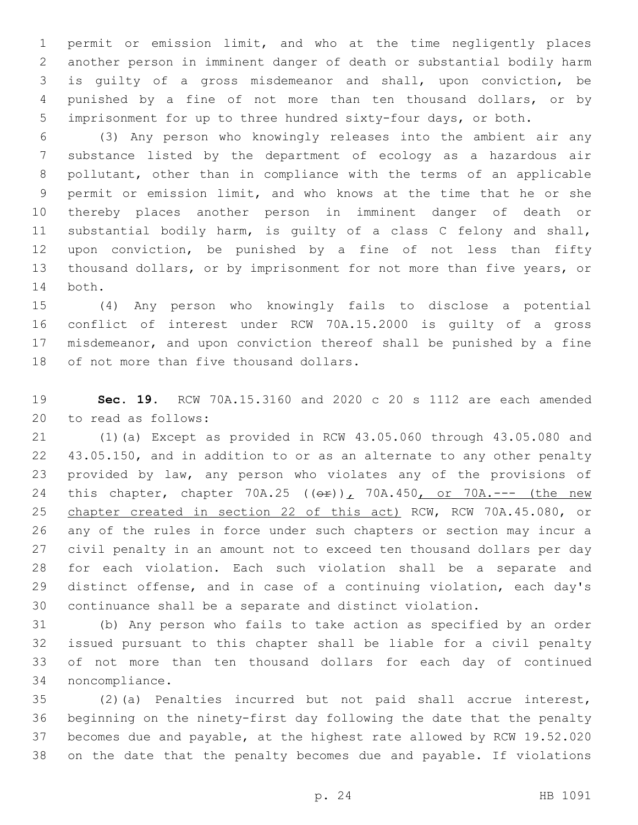permit or emission limit, and who at the time negligently places another person in imminent danger of death or substantial bodily harm is guilty of a gross misdemeanor and shall, upon conviction, be punished by a fine of not more than ten thousand dollars, or by imprisonment for up to three hundred sixty-four days, or both.

 (3) Any person who knowingly releases into the ambient air any substance listed by the department of ecology as a hazardous air pollutant, other than in compliance with the terms of an applicable permit or emission limit, and who knows at the time that he or she thereby places another person in imminent danger of death or substantial bodily harm, is guilty of a class C felony and shall, upon conviction, be punished by a fine of not less than fifty thousand dollars, or by imprisonment for not more than five years, or 14 both.

 (4) Any person who knowingly fails to disclose a potential conflict of interest under RCW 70A.15.2000 is guilty of a gross misdemeanor, and upon conviction thereof shall be punished by a fine 18 of not more than five thousand dollars.

 **Sec. 19.** RCW 70A.15.3160 and 2020 c 20 s 1112 are each amended 20 to read as follows:

 (1)(a) Except as provided in RCW 43.05.060 through 43.05.080 and 43.05.150, and in addition to or as an alternate to any other penalty provided by law, any person who violates any of the provisions of this chapter, chapter 70A.25 ((or))*,* 70A.450, or 70A.--- (the new 25 chapter created in section 22 of this act) RCW, RCW 70A.45.080, or any of the rules in force under such chapters or section may incur a civil penalty in an amount not to exceed ten thousand dollars per day for each violation. Each such violation shall be a separate and distinct offense, and in case of a continuing violation, each day's continuance shall be a separate and distinct violation.

 (b) Any person who fails to take action as specified by an order issued pursuant to this chapter shall be liable for a civil penalty of not more than ten thousand dollars for each day of continued 34 noncompliance.

 (2)(a) Penalties incurred but not paid shall accrue interest, beginning on the ninety-first day following the date that the penalty becomes due and payable, at the highest rate allowed by RCW 19.52.020 on the date that the penalty becomes due and payable. If violations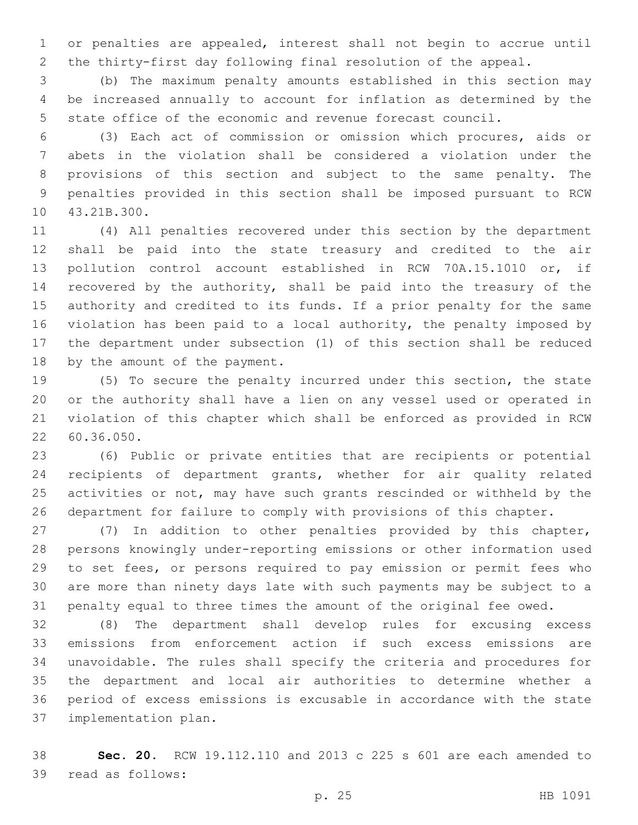or penalties are appealed, interest shall not begin to accrue until the thirty-first day following final resolution of the appeal.

 (b) The maximum penalty amounts established in this section may be increased annually to account for inflation as determined by the state office of the economic and revenue forecast council.

 (3) Each act of commission or omission which procures, aids or abets in the violation shall be considered a violation under the provisions of this section and subject to the same penalty. The penalties provided in this section shall be imposed pursuant to RCW 10 43.21B.300.

 (4) All penalties recovered under this section by the department shall be paid into the state treasury and credited to the air pollution control account established in RCW 70A.15.1010 or, if recovered by the authority, shall be paid into the treasury of the authority and credited to its funds. If a prior penalty for the same violation has been paid to a local authority, the penalty imposed by the department under subsection (1) of this section shall be reduced 18 by the amount of the payment.

 (5) To secure the penalty incurred under this section, the state or the authority shall have a lien on any vessel used or operated in violation of this chapter which shall be enforced as provided in RCW 60.36.050.22

 (6) Public or private entities that are recipients or potential recipients of department grants, whether for air quality related activities or not, may have such grants rescinded or withheld by the department for failure to comply with provisions of this chapter.

 (7) In addition to other penalties provided by this chapter, persons knowingly under-reporting emissions or other information used to set fees, or persons required to pay emission or permit fees who are more than ninety days late with such payments may be subject to a penalty equal to three times the amount of the original fee owed.

 (8) The department shall develop rules for excusing excess emissions from enforcement action if such excess emissions are unavoidable. The rules shall specify the criteria and procedures for the department and local air authorities to determine whether a period of excess emissions is excusable in accordance with the state 37 implementation plan.

 **Sec. 20.** RCW 19.112.110 and 2013 c 225 s 601 are each amended to 39 read as follows: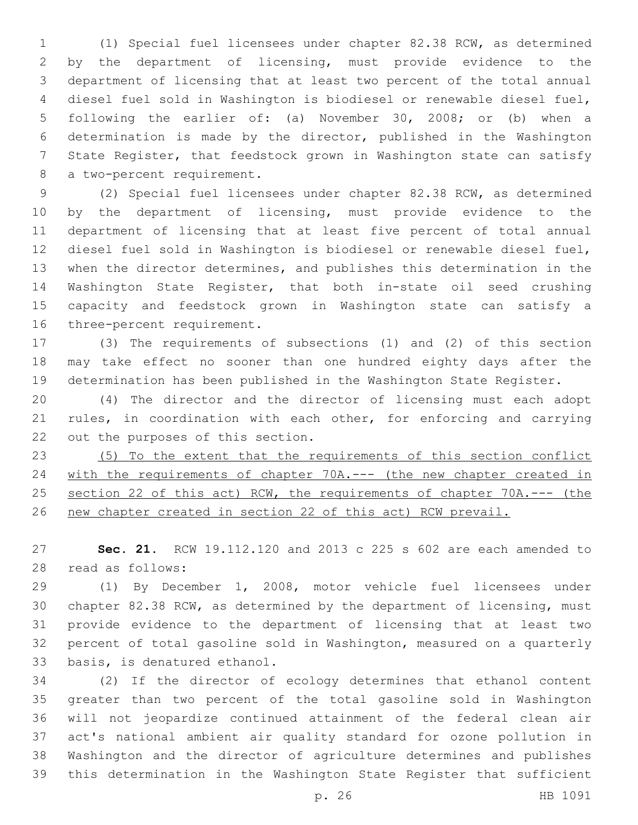(1) Special fuel licensees under chapter 82.38 RCW, as determined by the department of licensing, must provide evidence to the department of licensing that at least two percent of the total annual diesel fuel sold in Washington is biodiesel or renewable diesel fuel, following the earlier of: (a) November 30, 2008; or (b) when a determination is made by the director, published in the Washington State Register, that feedstock grown in Washington state can satisfy 8 a two-percent requirement.

 (2) Special fuel licensees under chapter 82.38 RCW, as determined by the department of licensing, must provide evidence to the department of licensing that at least five percent of total annual diesel fuel sold in Washington is biodiesel or renewable diesel fuel, when the director determines, and publishes this determination in the Washington State Register, that both in-state oil seed crushing capacity and feedstock grown in Washington state can satisfy a 16 three-percent requirement.

 (3) The requirements of subsections (1) and (2) of this section may take effect no sooner than one hundred eighty days after the determination has been published in the Washington State Register.

 (4) The director and the director of licensing must each adopt rules, in coordination with each other, for enforcing and carrying 22 out the purposes of this section.

 (5) To the extent that the requirements of this section conflict with the requirements of chapter 70A.--- (the new chapter created in section 22 of this act) RCW, the requirements of chapter 70A.--- (the new chapter created in section 22 of this act) RCW prevail.

 **Sec. 21.** RCW 19.112.120 and 2013 c 225 s 602 are each amended to read as follows:28

 (1) By December 1, 2008, motor vehicle fuel licensees under chapter 82.38 RCW, as determined by the department of licensing, must provide evidence to the department of licensing that at least two percent of total gasoline sold in Washington, measured on a quarterly 33 basis, is denatured ethanol.

 (2) If the director of ecology determines that ethanol content greater than two percent of the total gasoline sold in Washington will not jeopardize continued attainment of the federal clean air act's national ambient air quality standard for ozone pollution in Washington and the director of agriculture determines and publishes this determination in the Washington State Register that sufficient